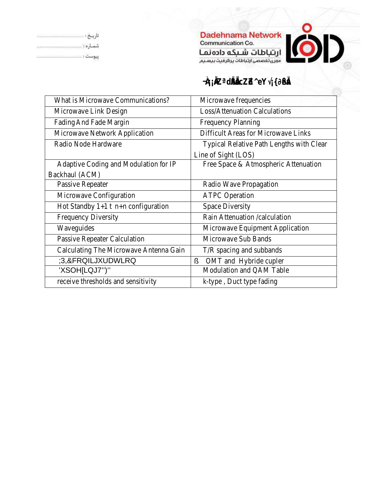| What is Microwave Communications?   | Microwave frequencies                  |
|-------------------------------------|----------------------------------------|
| Microwave Link Design               | Loss/Attenuation Calculations          |
| FadingAnd Fade Margin               | <b>Frequency Planning</b>              |
| Microwave Network Application       | Difficult Areas for Microwave Links    |
| Radio Node Hardware                 | Typical Relative Path Lengths with Cle |
|                                     | Line of Sight (LOS)                    |
| Adaptive Coding and Modulation IP   | Free Space & Atmospheric Attenuation   |
| Backhaul (ACM)                      |                                        |
| Passive Repeater                    | Radio Wave Propagation                 |
| Microwave Configuration             | <b>ATPC Operation</b>                  |
| Hot Standby+1 n+n configuration     | Space Diversity                        |
| <b>Frequency Diversity</b>          | Rain Attenuation / calculation         |
| Waveguides                          | Microwave Equipment Application        |
| Passive Repeater Calculation        | Microwave Sub Bands                    |
| Calculating The Microwave Antenna G | T/R spacing and subbands               |
|                                     | OMT and Hybride cupler                 |
|                                     | Modulation and QAM Table               |
| receive thresholds and sensitivity  | k-type, Duct type fading               |